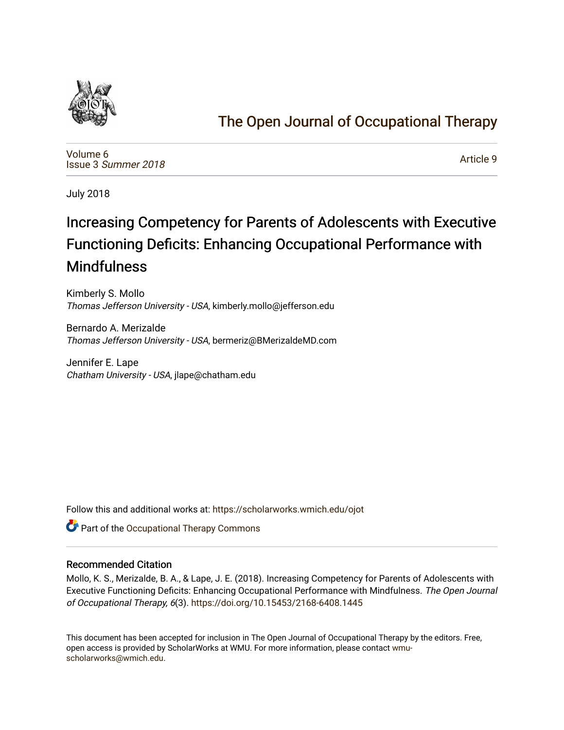

# [The Open Journal of Occupational Therapy](https://scholarworks.wmich.edu/ojot)

[Volume 6](https://scholarworks.wmich.edu/ojot/vol6) Issue 3 [Summer 2018](https://scholarworks.wmich.edu/ojot/vol6/iss3) 

[Article 9](https://scholarworks.wmich.edu/ojot/vol6/iss3/9) 

July 2018

# Increasing Competency for Parents of Adolescents with Executive Functioning Deficits: Enhancing Occupational Performance with Mindfulness

Kimberly S. Mollo Thomas Jefferson University - USA, kimberly.mollo@jefferson.edu

Bernardo A. Merizalde Thomas Jefferson University - USA, bermeriz@BMerizaldeMD.com

Jennifer E. Lape Chatham University - USA, jlape@chatham.edu

Follow this and additional works at: [https://scholarworks.wmich.edu/ojot](https://scholarworks.wmich.edu/ojot?utm_source=scholarworks.wmich.edu%2Fojot%2Fvol6%2Fiss3%2F9&utm_medium=PDF&utm_campaign=PDFCoverPages)

**C** Part of the Occupational Therapy Commons

# Recommended Citation

Mollo, K. S., Merizalde, B. A., & Lape, J. E. (2018). Increasing Competency for Parents of Adolescents with Executive Functioning Deficits: Enhancing Occupational Performance with Mindfulness. The Open Journal of Occupational Therapy, 6(3). <https://doi.org/10.15453/2168-6408.1445>

This document has been accepted for inclusion in The Open Journal of Occupational Therapy by the editors. Free, open access is provided by ScholarWorks at WMU. For more information, please contact [wmu](mailto:wmu-scholarworks@wmich.edu)[scholarworks@wmich.edu.](mailto:wmu-scholarworks@wmich.edu)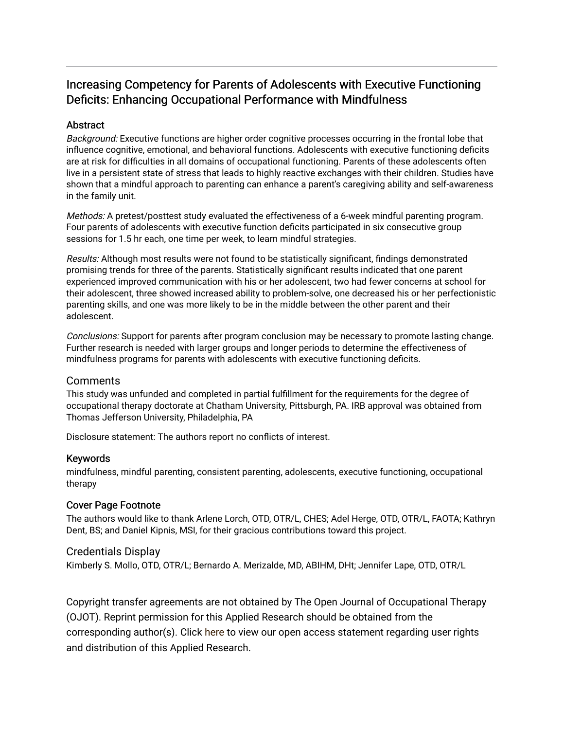# Increasing Competency for Parents of Adolescents with Executive Functioning Deficits: Enhancing Occupational Performance with Mindfulness

# **Abstract**

Background: Executive functions are higher order cognitive processes occurring in the frontal lobe that influence cognitive, emotional, and behavioral functions. Adolescents with executive functioning deficits are at risk for difficulties in all domains of occupational functioning. Parents of these adolescents often live in a persistent state of stress that leads to highly reactive exchanges with their children. Studies have shown that a mindful approach to parenting can enhance a parent's caregiving ability and self-awareness in the family unit.

Methods: A pretest/posttest study evaluated the effectiveness of a 6-week mindful parenting program. Four parents of adolescents with executive function deficits participated in six consecutive group sessions for 1.5 hr each, one time per week, to learn mindful strategies.

Results: Although most results were not found to be statistically significant, findings demonstrated promising trends for three of the parents. Statistically significant results indicated that one parent experienced improved communication with his or her adolescent, two had fewer concerns at school for their adolescent, three showed increased ability to problem-solve, one decreased his or her perfectionistic parenting skills, and one was more likely to be in the middle between the other parent and their adolescent.

Conclusions: Support for parents after program conclusion may be necessary to promote lasting change. Further research is needed with larger groups and longer periods to determine the effectiveness of mindfulness programs for parents with adolescents with executive functioning deficits.

# **Comments**

This study was unfunded and completed in partial fulfillment for the requirements for the degree of occupational therapy doctorate at Chatham University, Pittsburgh, PA. IRB approval was obtained from Thomas Jefferson University, Philadelphia, PA

Disclosure statement: The authors report no conflicts of interest.

# Keywords

mindfulness, mindful parenting, consistent parenting, adolescents, executive functioning, occupational therapy

# Cover Page Footnote

The authors would like to thank Arlene Lorch, OTD, OTR/L, CHES; Adel Herge, OTD, OTR/L, FAOTA; Kathryn Dent, BS; and Daniel Kipnis, MSI, for their gracious contributions toward this project.

# Credentials Display

Kimberly S. Mollo, OTD, OTR/L; Bernardo A. Merizalde, MD, ABIHM, DHt; Jennifer Lape, OTD, OTR/L

Copyright transfer agreements are not obtained by The Open Journal of Occupational Therapy (OJOT). Reprint permission for this Applied Research should be obtained from the corresponding author(s). Click [here](https://scholarworks.wmich.edu/ojot/policies.html#rights) to view our open access statement regarding user rights and distribution of this Applied Research.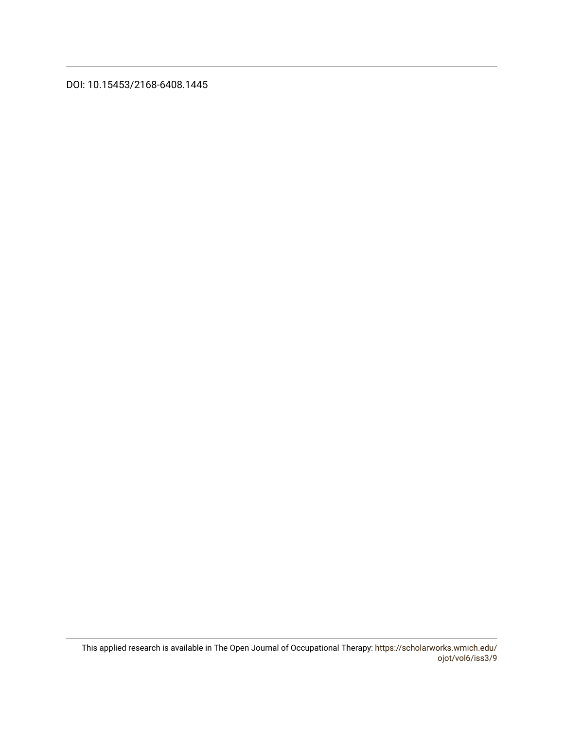DOI: 10.15453/2168-6408.1445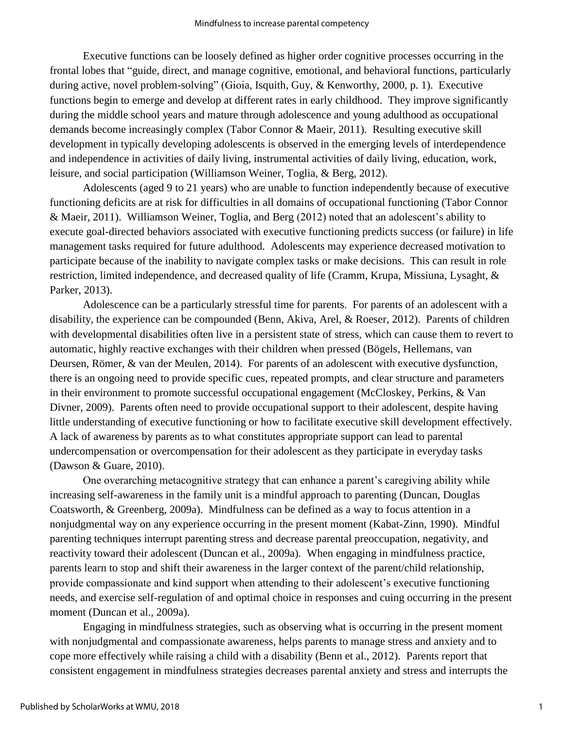Executive functions can be loosely defined as higher order cognitive processes occurring in the frontal lobes that "guide, direct, and manage cognitive, emotional, and behavioral functions, particularly during active, novel problem-solving" (Gioia, Isquith, Guy, & Kenworthy, 2000, p. 1). Executive functions begin to emerge and develop at different rates in early childhood. They improve significantly during the middle school years and mature through adolescence and young adulthood as occupational demands become increasingly complex (Tabor Connor & Maeir, 2011). Resulting executive skill development in typically developing adolescents is observed in the emerging levels of interdependence and independence in activities of daily living, instrumental activities of daily living, education, work, leisure, and social participation (Williamson Weiner, Toglia, & Berg, 2012).

Adolescents (aged 9 to 21 years) who are unable to function independently because of executive functioning deficits are at risk for difficulties in all domains of occupational functioning (Tabor Connor & Maeir, 2011). Williamson Weiner, Toglia, and Berg (2012) noted that an adolescent's ability to execute goal-directed behaviors associated with executive functioning predicts success (or failure) in life management tasks required for future adulthood. Adolescents may experience decreased motivation to participate because of the inability to navigate complex tasks or make decisions. This can result in role restriction, limited independence, and decreased quality of life (Cramm, Krupa, Missiuna, Lysaght, & Parker, 2013).

Adolescence can be a particularly stressful time for parents. For parents of an adolescent with a disability, the experience can be compounded (Benn, Akiva, Arel, & Roeser, 2012). Parents of children with developmental disabilities often live in a persistent state of stress, which can cause them to revert to automatic, highly reactive exchanges with their children when pressed (Bögels, Hellemans, van Deursen, Römer, & van der Meulen, 2014). For parents of an adolescent with executive dysfunction, there is an ongoing need to provide specific cues, repeated prompts, and clear structure and parameters in their environment to promote successful occupational engagement (McCloskey, Perkins, & Van Divner, 2009). Parents often need to provide occupational support to their adolescent, despite having little understanding of executive functioning or how to facilitate executive skill development effectively. A lack of awareness by parents as to what constitutes appropriate support can lead to parental undercompensation or overcompensation for their adolescent as they participate in everyday tasks (Dawson & Guare, 2010).

One overarching metacognitive strategy that can enhance a parent's caregiving ability while increasing self-awareness in the family unit is a mindful approach to parenting (Duncan, Douglas Coatsworth, & Greenberg, 2009a). Mindfulness can be defined as a way to focus attention in a nonjudgmental way on any experience occurring in the present moment (Kabat-Zinn, 1990). Mindful parenting techniques interrupt parenting stress and decrease parental preoccupation, negativity, and reactivity toward their adolescent (Duncan et al., 2009a). When engaging in mindfulness practice, parents learn to stop and shift their awareness in the larger context of the parent/child relationship, provide compassionate and kind support when attending to their adolescent's executive functioning needs, and exercise self-regulation of and optimal choice in responses and cuing occurring in the present moment (Duncan et al., 2009a).

Engaging in mindfulness strategies, such as observing what is occurring in the present moment with nonjudgmental and compassionate awareness, helps parents to manage stress and anxiety and to cope more effectively while raising a child with a disability (Benn et al., 2012). Parents report that consistent engagement in mindfulness strategies decreases parental anxiety and stress and interrupts the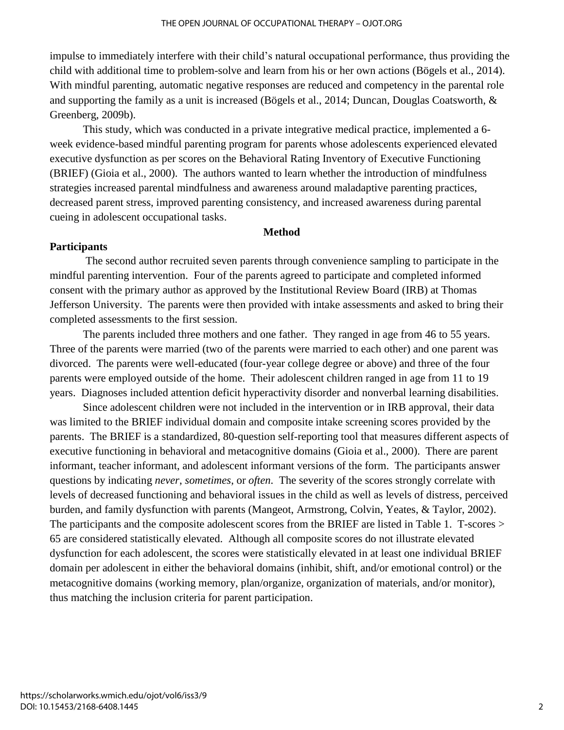impulse to immediately interfere with their child's natural occupational performance, thus providing the child with additional time to problem-solve and learn from his or her own actions (Bögels et al., 2014). With mindful parenting, automatic negative responses are reduced and competency in the parental role and supporting the family as a unit is increased (Bögels et al., 2014; Duncan, Douglas Coatsworth, & Greenberg, 2009b).

This study, which was conducted in a private integrative medical practice, implemented a 6 week evidence-based mindful parenting program for parents whose adolescents experienced elevated executive dysfunction as per scores on the Behavioral Rating Inventory of Executive Functioning (BRIEF) (Gioia et al., 2000). The authors wanted to learn whether the introduction of mindfulness strategies increased parental mindfulness and awareness around maladaptive parenting practices, decreased parent stress, improved parenting consistency, and increased awareness during parental cueing in adolescent occupational tasks.

#### **Method**

# **Participants**

The second author recruited seven parents through convenience sampling to participate in the mindful parenting intervention. Four of the parents agreed to participate and completed informed consent with the primary author as approved by the Institutional Review Board (IRB) at Thomas Jefferson University. The parents were then provided with intake assessments and asked to bring their completed assessments to the first session.

The parents included three mothers and one father. They ranged in age from 46 to 55 years. Three of the parents were married (two of the parents were married to each other) and one parent was divorced. The parents were well-educated (four-year college degree or above) and three of the four parents were employed outside of the home. Their adolescent children ranged in age from 11 to 19 years. Diagnoses included attention deficit hyperactivity disorder and nonverbal learning disabilities.

Since adolescent children were not included in the intervention or in IRB approval, their data was limited to the BRIEF individual domain and composite intake screening scores provided by the parents. The BRIEF is a standardized, 80-question self-reporting tool that measures different aspects of executive functioning in behavioral and metacognitive domains (Gioia et al., 2000). There are parent informant, teacher informant, and adolescent informant versions of the form. The participants answer questions by indicating *never*, *sometimes*, or *often*. The severity of the scores strongly correlate with levels of decreased functioning and behavioral issues in the child as well as levels of distress, perceived burden, and family dysfunction with parents (Mangeot, Armstrong, Colvin, Yeates, & Taylor, 2002). The participants and the composite adolescent scores from the BRIEF are listed in Table 1. T-scores > 65 are considered statistically elevated. Although all composite scores do not illustrate elevated dysfunction for each adolescent, the scores were statistically elevated in at least one individual BRIEF domain per adolescent in either the behavioral domains (inhibit, shift, and/or emotional control) or the metacognitive domains (working memory, plan/organize, organization of materials, and/or monitor), thus matching the inclusion criteria for parent participation.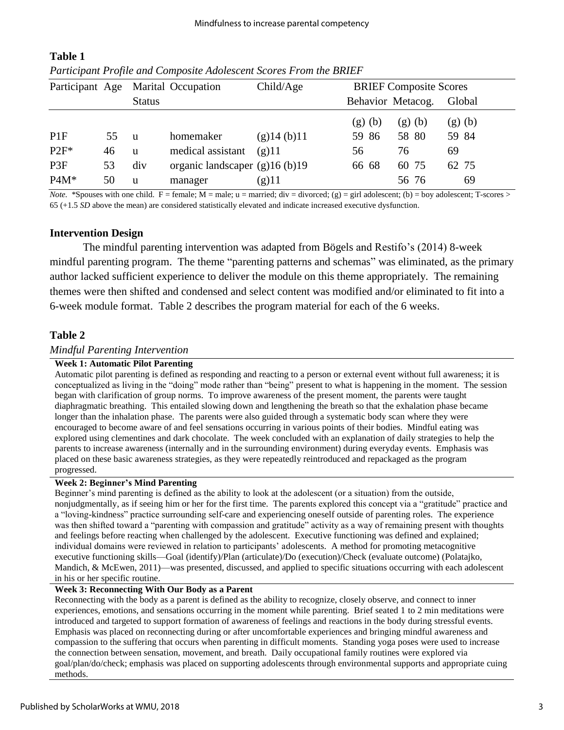| Participant Age |    |               | Marital Occupation              | Child/Age      | <b>BRIEF Composite Scores</b> |        |        |
|-----------------|----|---------------|---------------------------------|----------------|-------------------------------|--------|--------|
|                 |    | <b>Status</b> |                                 |                | Behavior Metacog.             |        | Global |
|                 |    |               |                                 |                | (g)(b)                        | (g)(b) | (g)(b) |
| PIF             | 55 | <sub>u</sub>  | homemaker                       | $(g)$ 14 (b)11 | 59 86                         | 58 80  | 59 84  |
| $P2F^*$         | 46 | u             | medical assistant               | $(g)$ 11       | 56                            | 76     | 69     |
| P <sub>3F</sub> | 53 | div           | organic landscaper $(g)16(b)19$ |                | 66 68                         | 60 75  | 62 75  |
| $P4M*$          | 50 | u             | manager                         | (g)11          |                               | 56 76  | 69     |

# **Table 1**  *Participant Profile and Composite Adolescent Scores From the BRIEF*

*Note.* \*Spouses with one child. F = female;  $M =$  male;  $u =$  married;  $div =$  divorced;  $(g) =$  girl adolescent; (b) = boy adolescent; T-scores > 65 (+1.5 *SD* above the mean) are considered statistically elevated and indicate increased executive dysfunction.

# **Intervention Design**

The mindful parenting intervention was adapted from Bögels and Restifo's (2014) 8-week mindful parenting program. The theme "parenting patterns and schemas" was eliminated, as the primary author lacked sufficient experience to deliver the module on this theme appropriately. The remaining themes were then shifted and condensed and select content was modified and/or eliminated to fit into a 6-week module format. Table 2 describes the program material for each of the 6 weeks.

# **Table 2**

# *Mindful Parenting Intervention*

#### **Week 1: Automatic Pilot Parenting**

Automatic pilot parenting is defined as responding and reacting to a person or external event without full awareness; it is conceptualized as living in the "doing" mode rather than "being" present to what is happening in the moment. The session began with clarification of group norms. To improve awareness of the present moment, the parents were taught diaphragmatic breathing. This entailed slowing down and lengthening the breath so that the exhalation phase became longer than the inhalation phase. The parents were also guided through a systematic body scan where they were encouraged to become aware of and feel sensations occurring in various points of their bodies. Mindful eating was explored using clementines and dark chocolate. The week concluded with an explanation of daily strategies to help the parents to increase awareness (internally and in the surrounding environment) during everyday events. Emphasis was placed on these basic awareness strategies, as they were repeatedly reintroduced and repackaged as the program progressed.

#### **Week 2: Beginner's Mind Parenting**

Beginner's mind parenting is defined as the ability to look at the adolescent (or a situation) from the outside, nonjudgmentally, as if seeing him or her for the first time. The parents explored this concept via a "gratitude" practice and a "loving-kindness" practice surrounding self-care and experiencing oneself outside of parenting roles. The experience was then shifted toward a "parenting with compassion and gratitude" activity as a way of remaining present with thoughts and feelings before reacting when challenged by the adolescent. Executive functioning was defined and explained; individual domains were reviewed in relation to participants' adolescents. A method for promoting metacognitive executive functioning skills—Goal (identify)/Plan (articulate)/Do (execution)/Check (evaluate outcome) (Polatajko, Mandich, & McEwen, 2011)—was presented, discussed, and applied to specific situations occurring with each adolescent in his or her specific routine.

#### **Week 3: Reconnecting With Our Body as a Parent**

Reconnecting with the body as a parent is defined as the ability to recognize, closely observe, and connect to inner experiences, emotions, and sensations occurring in the moment while parenting. Brief seated 1 to 2 min meditations were introduced and targeted to support formation of awareness of feelings and reactions in the body during stressful events. Emphasis was placed on reconnecting during or after uncomfortable experiences and bringing mindful awareness and compassion to the suffering that occurs when parenting in difficult moments. Standing yoga poses were used to increase the connection between sensation, movement, and breath. Daily occupational family routines were explored via goal/plan/do/check; emphasis was placed on supporting adolescents through environmental supports and appropriate cuing methods.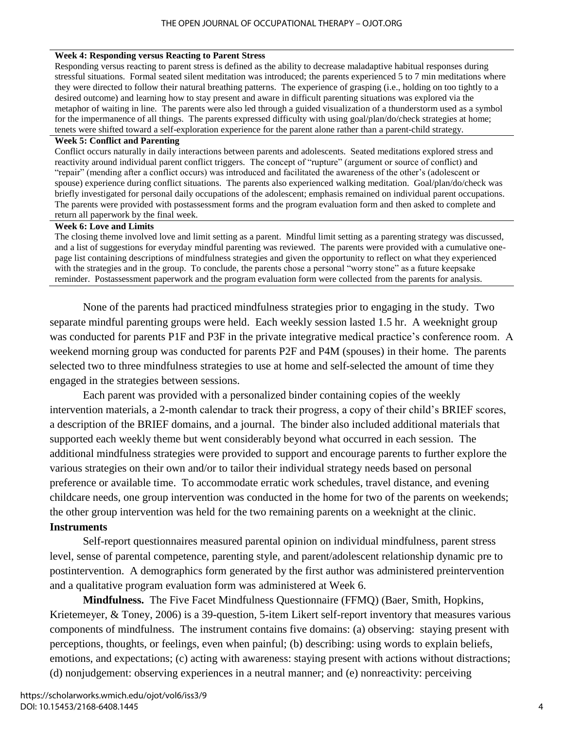#### **Week 4: Responding versus Reacting to Parent Stress**

Responding versus reacting to parent stress is defined as the ability to decrease maladaptive habitual responses during stressful situations. Formal seated silent meditation was introduced; the parents experienced 5 to 7 min meditations where they were directed to follow their natural breathing patterns. The experience of grasping (i.e., holding on too tightly to a desired outcome) and learning how to stay present and aware in difficult parenting situations was explored via the metaphor of waiting in line. The parents were also led through a guided visualization of a thunderstorm used as a symbol for the impermanence of all things. The parents expressed difficulty with using goal/plan/do/check strategies at home; tenets were shifted toward a self-exploration experience for the parent alone rather than a parent-child strategy.

#### **Week 5: Conflict and Parenting**

Conflict occurs naturally in daily interactions between parents and adolescents. Seated meditations explored stress and reactivity around individual parent conflict triggers. The concept of "rupture" (argument or source of conflict) and "repair" (mending after a conflict occurs) was introduced and facilitated the awareness of the other's (adolescent or spouse) experience during conflict situations. The parents also experienced walking meditation. Goal/plan/do/check was briefly investigated for personal daily occupations of the adolescent; emphasis remained on individual parent occupations. The parents were provided with postassessment forms and the program evaluation form and then asked to complete and return all paperwork by the final week.

### **Week 6: Love and Limits**

The closing theme involved love and limit setting as a parent. Mindful limit setting as a parenting strategy was discussed, and a list of suggestions for everyday mindful parenting was reviewed. The parents were provided with a cumulative onepage list containing descriptions of mindfulness strategies and given the opportunity to reflect on what they experienced with the strategies and in the group. To conclude, the parents chose a personal "worry stone" as a future keepsake reminder. Postassessment paperwork and the program evaluation form were collected from the parents for analysis.

None of the parents had practiced mindfulness strategies prior to engaging in the study. Two separate mindful parenting groups were held. Each weekly session lasted 1.5 hr. A weeknight group was conducted for parents P1F and P3F in the private integrative medical practice's conference room. A weekend morning group was conducted for parents P2F and P4M (spouses) in their home. The parents selected two to three mindfulness strategies to use at home and self-selected the amount of time they engaged in the strategies between sessions.

Each parent was provided with a personalized binder containing copies of the weekly intervention materials, a 2-month calendar to track their progress, a copy of their child's BRIEF scores, a description of the BRIEF domains, and a journal. The binder also included additional materials that supported each weekly theme but went considerably beyond what occurred in each session. The additional mindfulness strategies were provided to support and encourage parents to further explore the various strategies on their own and/or to tailor their individual strategy needs based on personal preference or available time. To accommodate erratic work schedules, travel distance, and evening childcare needs, one group intervention was conducted in the home for two of the parents on weekends; the other group intervention was held for the two remaining parents on a weeknight at the clinic. **Instruments**

# Self-report questionnaires measured parental opinion on individual mindfulness, parent stress level, sense of parental competence, parenting style, and parent/adolescent relationship dynamic pre to postintervention. A demographics form generated by the first author was administered preintervention and a qualitative program evaluation form was administered at Week 6.

**Mindfulness.** The Five Facet Mindfulness Questionnaire (FFMQ) (Baer, Smith, Hopkins, Krietemeyer, & Toney, 2006) is a 39-question, 5-item Likert self-report inventory that measures various components of mindfulness. The instrument contains five domains: (a) observing: staying present with perceptions, thoughts, or feelings, even when painful; (b) describing: using words to explain beliefs, emotions, and expectations; (c) acting with awareness: staying present with actions without distractions; (d) nonjudgement: observing experiences in a neutral manner; and (e) nonreactivity: perceiving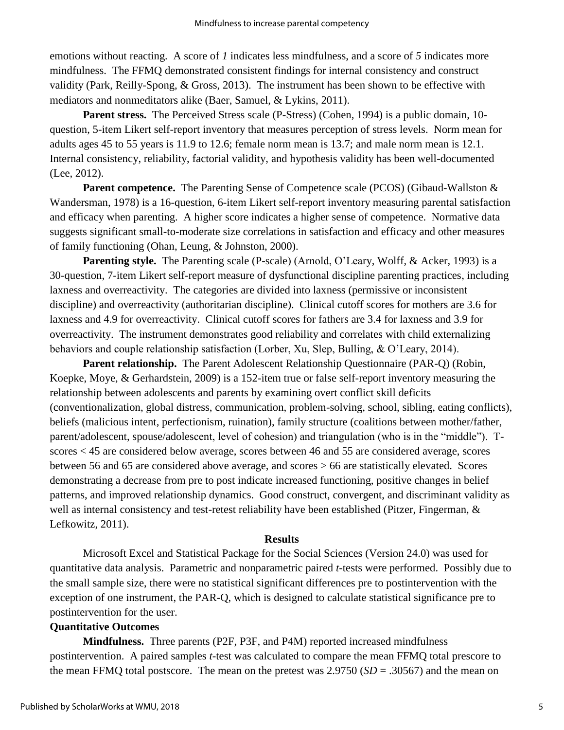emotions without reacting. A score of *1* indicates less mindfulness, and a score of *5* indicates more mindfulness. The FFMQ demonstrated consistent findings for internal consistency and construct validity (Park, Reilly-Spong, & Gross, 2013). The instrument has been shown to be effective with mediators and nonmeditators alike (Baer, Samuel, & Lykins, 2011).

**Parent stress.**The Perceived Stress scale (P-Stress) (Cohen, 1994) is a public domain, 10 question, 5-item Likert self-report inventory that measures perception of stress levels. Norm mean for adults ages 45 to 55 years is 11.9 to 12.6; female norm mean is 13.7; and male norm mean is 12.1. Internal consistency, reliability, factorial validity, and hypothesis validity has been well-documented (Lee, 2012).

**Parent competence.** The Parenting Sense of Competence scale (PCOS) (Gibaud-Wallston & Wandersman, 1978) is a 16-question, 6-item Likert self-report inventory measuring parental satisfaction and efficacy when parenting. A higher score indicates a higher sense of competence. Normative data suggests significant small-to-moderate size correlations in satisfaction and efficacy and other measures of family functioning (Ohan, Leung, & Johnston, 2000).

**Parenting style.** The Parenting scale (P-scale) (Arnold, O'Leary, Wolff, & Acker, 1993) is a 30-question, 7-item Likert self-report measure of dysfunctional discipline parenting practices, including laxness and overreactivity. The categories are divided into laxness (permissive or inconsistent discipline) and overreactivity (authoritarian discipline). Clinical cutoff scores for mothers are 3.6 for laxness and 4.9 for overreactivity. Clinical cutoff scores for fathers are 3.4 for laxness and 3.9 for overreactivity. The instrument demonstrates good reliability and correlates with child externalizing behaviors and couple relationship satisfaction (Lorber, Xu, Slep, Bulling, & O'Leary, 2014).

**Parent relationship.** The Parent Adolescent Relationship Questionnaire (PAR-Q) (Robin, Koepke, Moye, & Gerhardstein, 2009) is a 152-item true or false self-report inventory measuring the relationship between adolescents and parents by examining overt conflict skill deficits (conventionalization, global distress, communication, problem-solving, school, sibling, eating conflicts), beliefs (malicious intent, perfectionism, ruination), family structure (coalitions between mother/father, parent/adolescent, spouse/adolescent, level of cohesion) and triangulation (who is in the "middle"). Tscores < 45 are considered below average, scores between 46 and 55 are considered average, scores between 56 and 65 are considered above average, and scores > 66 are statistically elevated. Scores demonstrating a decrease from pre to post indicate increased functioning, positive changes in belief patterns, and improved relationship dynamics. Good construct, convergent, and discriminant validity as well as internal consistency and test-retest reliability have been established (Pitzer, Fingerman, & Lefkowitz, 2011).

# **Results**

Microsoft Excel and Statistical Package for the Social Sciences (Version 24.0) was used for quantitative data analysis. Parametric and nonparametric paired *t*-tests were performed. Possibly due to the small sample size, there were no statistical significant differences pre to postintervention with the exception of one instrument, the PAR-Q, which is designed to calculate statistical significance pre to postintervention for the user.

# **Quantitative Outcomes**

**Mindfulness.** Three parents (P2F, P3F, and P4M) reported increased mindfulness postintervention. A paired samples *t*-test was calculated to compare the mean FFMQ total prescore to the mean FFMQ total postscore. The mean on the pretest was 2.9750 (*SD* = .30567) and the mean on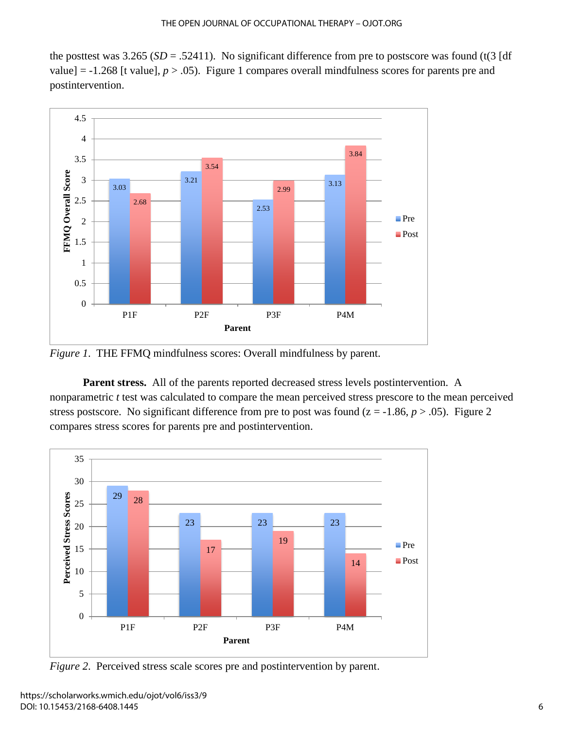the posttest was  $3.265$  (*SD* = .52411). No significant difference from pre to postscore was found (t(3 [df value] =  $-1.268$  [t value],  $p > .05$ ). Figure 1 compares overall mindfulness scores for parents pre and postintervention.



*Figure 1*. THE FFMQ mindfulness scores: Overall mindfulness by parent.

**Parent stress.**All of the parents reported decreased stress levels postintervention. A nonparametric *t* test was calculated to compare the mean perceived stress prescore to the mean perceived stress postscore. No significant difference from pre to post was found  $(z = -1.86, p > .05)$ . Figure 2 compares stress scores for parents pre and postintervention.



*Figure 2.* Perceived stress scale scores pre and postintervention by parent.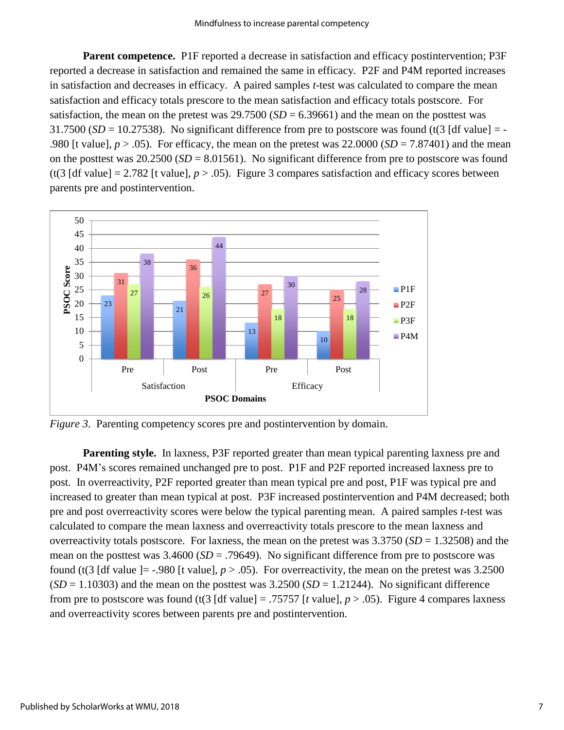**Parent competence.** P1F reported a decrease in satisfaction and efficacy postintervention; P3F reported a decrease in satisfaction and remained the same in efficacy. P2F and P4M reported increases in satisfaction and decreases in efficacy. A paired samples *t*-test was calculated to compare the mean satisfaction and efficacy totals prescore to the mean satisfaction and efficacy totals postscore. For satisfaction, the mean on the pretest was  $29.7500$  (*SD* = 6.39661) and the mean on the posttest was 31.7500 ( $SD = 10.27538$ ). No significant difference from pre to postscore was found (t(3 [df value] = -.980 [t value],  $p > .05$ ). For efficacy, the mean on the pretest was  $22.0000$  (*SD* = 7.87401) and the mean on the posttest was 20.2500 (*SD* = 8.01561). No significant difference from pre to postscore was found (t(3 [df value] = 2.782 [t value],  $p > .05$ ). Figure 3 compares satisfaction and efficacy scores between parents pre and postintervention.



*Figure 3.* Parenting competency scores pre and postintervention by domain.

**Parenting style.** In laxness, P3F reported greater than mean typical parenting laxness pre and post. P4M's scores remained unchanged pre to post. P1F and P2F reported increased laxness pre to post. In overreactivity, P2F reported greater than mean typical pre and post, P1F was typical pre and increased to greater than mean typical at post. P3F increased postintervention and P4M decreased; both pre and post overreactivity scores were below the typical parenting mean. A paired samples *t*-test was calculated to compare the mean laxness and overreactivity totals prescore to the mean laxness and overreactivity totals postscore. For laxness, the mean on the pretest was  $3.3750$  (*SD* = 1.32508) and the mean on the posttest was 3.4600 (*SD* = .79649). No significant difference from pre to postscore was found (t(3 [df value ]= -.980 [t value],  $p > .05$ ). For overreactivity, the mean on the pretest was 3.2500  $(SD = 1.10303)$  and the mean on the posttest was  $3.2500$   $(SD = 1.21244)$ . No significant difference from pre to postscore was found (t(3 [df value] = .75757 [t value],  $p > .05$ ). Figure 4 compares laxness and overreactivity scores between parents pre and postintervention.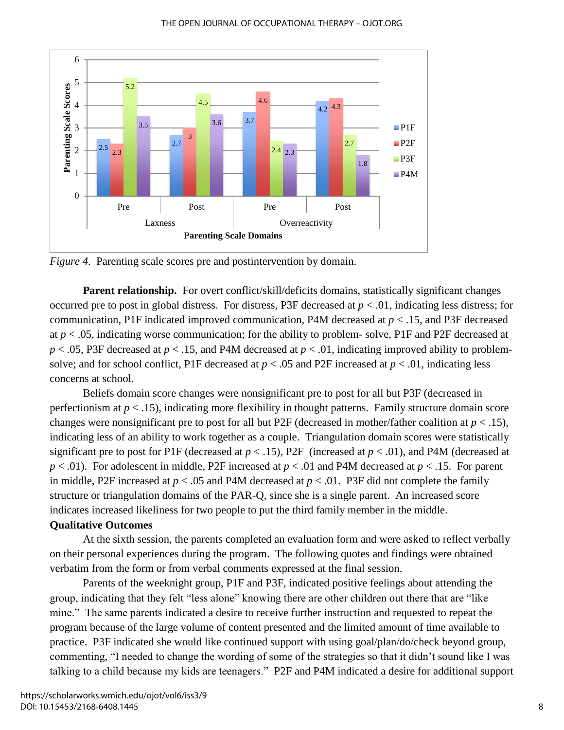

*Figure 4*. Parenting scale scores pre and postintervention by domain.

**Parent relationship.** For overt conflict/skill/deficits domains, statistically significant changes occurred pre to post in global distress. For distress, P3F decreased at  $p < .01$ , indicating less distress; for communication, P1F indicated improved communication, P4M decreased at *p* < .15, and P3F decreased at  $p < .05$ , indicating worse communication; for the ability to problem- solve, P1F and P2F decreased at *p* < .05, P3F decreased at *p* < .15, and P4M decreased at *p* < .01, indicating improved ability to problemsolve; and for school conflict, P1F decreased at *p* < .05 and P2F increased at *p* < .01, indicating less concerns at school.

Beliefs domain score changes were nonsignificant pre to post for all but P3F (decreased in perfectionism at *p* < .15), indicating more flexibility in thought patterns. Family structure domain score changes were nonsignificant pre to post for all but P2F (decreased in mother/father coalition at  $p < .15$ ), indicating less of an ability to work together as a couple. Triangulation domain scores were statistically significant pre to post for P1F (decreased at  $p < .15$ ), P2F (increased at  $p < .01$ ), and P4M (decreased at *p* < .01). For adolescent in middle, P2F increased at *p* < .01 and P4M decreased at *p* < .15. For parent in middle, P2F increased at  $p < .05$  and P4M decreased at  $p < .01$ . P3F did not complete the family structure or triangulation domains of the PAR-Q, since she is a single parent. An increased score indicates increased likeliness for two people to put the third family member in the middle.

# **Qualitative Outcomes**

At the sixth session, the parents completed an evaluation form and were asked to reflect verbally on their personal experiences during the program. The following quotes and findings were obtained verbatim from the form or from verbal comments expressed at the final session.

Parents of the weeknight group, P1F and P3F, indicated positive feelings about attending the group, indicating that they felt "less alone" knowing there are other children out there that are "like mine." The same parents indicated a desire to receive further instruction and requested to repeat the program because of the large volume of content presented and the limited amount of time available to practice. P3F indicated she would like continued support with using goal/plan/do/check beyond group, commenting, "I needed to change the wording of some of the strategies so that it didn't sound like I was talking to a child because my kids are teenagers." P2F and P4M indicated a desire for additional support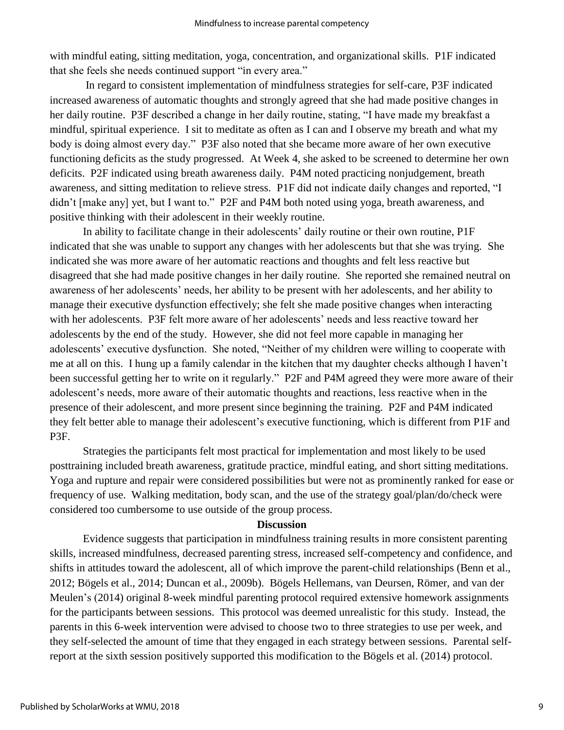with mindful eating, sitting meditation, yoga, concentration, and organizational skills. P1F indicated that she feels she needs continued support "in every area."

In regard to consistent implementation of mindfulness strategies for self-care, P3F indicated increased awareness of automatic thoughts and strongly agreed that she had made positive changes in her daily routine. P3F described a change in her daily routine, stating, "I have made my breakfast a mindful, spiritual experience. I sit to meditate as often as I can and I observe my breath and what my body is doing almost every day." P3F also noted that she became more aware of her own executive functioning deficits as the study progressed. At Week 4, she asked to be screened to determine her own deficits. P2F indicated using breath awareness daily. P4M noted practicing nonjudgement, breath awareness, and sitting meditation to relieve stress. P1F did not indicate daily changes and reported, "I didn't [make any] yet, but I want to." P2F and P4M both noted using yoga, breath awareness, and positive thinking with their adolescent in their weekly routine.

In ability to facilitate change in their adolescents' daily routine or their own routine, P1F indicated that she was unable to support any changes with her adolescents but that she was trying. She indicated she was more aware of her automatic reactions and thoughts and felt less reactive but disagreed that she had made positive changes in her daily routine. She reported she remained neutral on awareness of her adolescents' needs, her ability to be present with her adolescents, and her ability to manage their executive dysfunction effectively; she felt she made positive changes when interacting with her adolescents. P3F felt more aware of her adolescents' needs and less reactive toward her adolescents by the end of the study. However, she did not feel more capable in managing her adolescents' executive dysfunction. She noted, "Neither of my children were willing to cooperate with me at all on this. I hung up a family calendar in the kitchen that my daughter checks although I haven't been successful getting her to write on it regularly." P2F and P4M agreed they were more aware of their adolescent's needs, more aware of their automatic thoughts and reactions, less reactive when in the presence of their adolescent, and more present since beginning the training. P2F and P4M indicated they felt better able to manage their adolescent's executive functioning, which is different from P1F and P3F.

Strategies the participants felt most practical for implementation and most likely to be used posttraining included breath awareness, gratitude practice, mindful eating, and short sitting meditations. Yoga and rupture and repair were considered possibilities but were not as prominently ranked for ease or frequency of use. Walking meditation, body scan, and the use of the strategy goal/plan/do/check were considered too cumbersome to use outside of the group process.

### **Discussion**

Evidence suggests that participation in mindfulness training results in more consistent parenting skills, increased mindfulness, decreased parenting stress, increased self-competency and confidence, and shifts in attitudes toward the adolescent, all of which improve the parent-child relationships (Benn et al., 2012; Bögels et al., 2014; Duncan et al., 2009b). Bögels Hellemans, van Deursen, Römer, and van der Meulen's (2014) original 8-week mindful parenting protocol required extensive homework assignments for the participants between sessions. This protocol was deemed unrealistic for this study. Instead, the parents in this 6-week intervention were advised to choose two to three strategies to use per week, and they self-selected the amount of time that they engaged in each strategy between sessions. Parental selfreport at the sixth session positively supported this modification to the Bögels et al. (2014) protocol.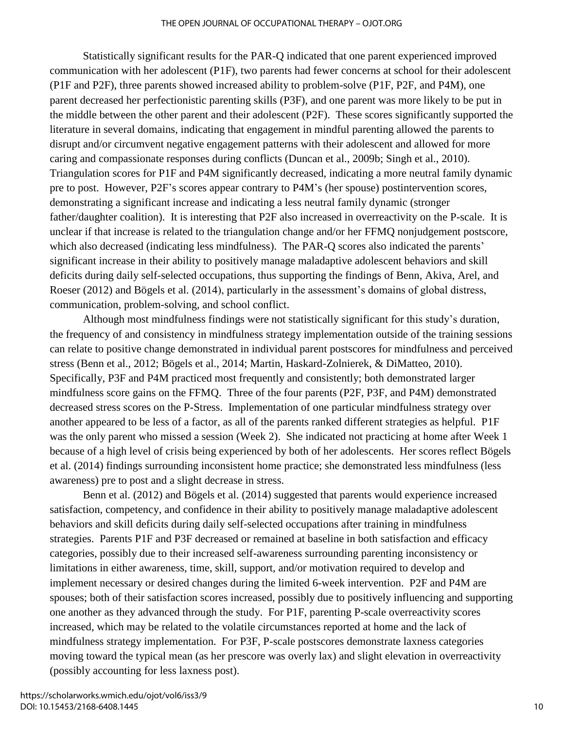Statistically significant results for the PAR-Q indicated that one parent experienced improved communication with her adolescent (P1F), two parents had fewer concerns at school for their adolescent (P1F and P2F), three parents showed increased ability to problem-solve (P1F, P2F, and P4M), one parent decreased her perfectionistic parenting skills (P3F), and one parent was more likely to be put in the middle between the other parent and their adolescent (P2F). These scores significantly supported the literature in several domains, indicating that engagement in mindful parenting allowed the parents to disrupt and/or circumvent negative engagement patterns with their adolescent and allowed for more caring and compassionate responses during conflicts (Duncan et al., 2009b; Singh et al., 2010). Triangulation scores for P1F and P4M significantly decreased, indicating a more neutral family dynamic pre to post. However, P2F's scores appear contrary to P4M's (her spouse) postintervention scores, demonstrating a significant increase and indicating a less neutral family dynamic (stronger father/daughter coalition). It is interesting that P2F also increased in overreactivity on the P-scale. It is unclear if that increase is related to the triangulation change and/or her FFMQ nonjudgement postscore, which also decreased (indicating less mindfulness). The PAR-Q scores also indicated the parents' significant increase in their ability to positively manage maladaptive adolescent behaviors and skill deficits during daily self-selected occupations, thus supporting the findings of Benn, Akiva, Arel, and Roeser (2012) and Bögels et al. (2014), particularly in the assessment's domains of global distress, communication, problem-solving, and school conflict.

Although most mindfulness findings were not statistically significant for this study's duration, the frequency of and consistency in mindfulness strategy implementation outside of the training sessions can relate to positive change demonstrated in individual parent postscores for mindfulness and perceived stress (Benn et al., 2012; Bögels et al., 2014; Martin, Haskard-Zolnierek, & DiMatteo, 2010). Specifically, P3F and P4M practiced most frequently and consistently; both demonstrated larger mindfulness score gains on the FFMQ. Three of the four parents (P2F, P3F, and P4M) demonstrated decreased stress scores on the P-Stress. Implementation of one particular mindfulness strategy over another appeared to be less of a factor, as all of the parents ranked different strategies as helpful. P1F was the only parent who missed a session (Week 2). She indicated not practicing at home after Week 1 because of a high level of crisis being experienced by both of her adolescents. Her scores reflect Bögels et al. (2014) findings surrounding inconsistent home practice; she demonstrated less mindfulness (less awareness) pre to post and a slight decrease in stress.

Benn et al. (2012) and Bögels et al. (2014) suggested that parents would experience increased satisfaction, competency, and confidence in their ability to positively manage maladaptive adolescent behaviors and skill deficits during daily self-selected occupations after training in mindfulness strategies. Parents P1F and P3F decreased or remained at baseline in both satisfaction and efficacy categories, possibly due to their increased self-awareness surrounding parenting inconsistency or limitations in either awareness, time, skill, support, and/or motivation required to develop and implement necessary or desired changes during the limited 6-week intervention. P2F and P4M are spouses; both of their satisfaction scores increased, possibly due to positively influencing and supporting one another as they advanced through the study. For P1F, parenting P-scale overreactivity scores increased, which may be related to the volatile circumstances reported at home and the lack of mindfulness strategy implementation. For P3F, P-scale postscores demonstrate laxness categories moving toward the typical mean (as her prescore was overly lax) and slight elevation in overreactivity (possibly accounting for less laxness post).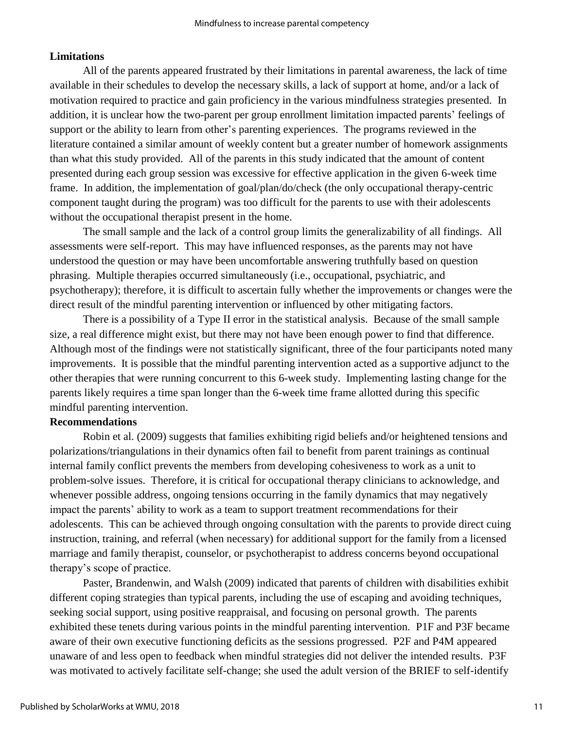# **Limitations**

All of the parents appeared frustrated by their limitations in parental awareness, the lack of time available in their schedules to develop the necessary skills, a lack of support at home, and/or a lack of motivation required to practice and gain proficiency in the various mindfulness strategies presented. In addition, it is unclear how the two-parent per group enrollment limitation impacted parents' feelings of support or the ability to learn from other's parenting experiences. The programs reviewed in the literature contained a similar amount of weekly content but a greater number of homework assignments than what this study provided. All of the parents in this study indicated that the amount of content presented during each group session was excessive for effective application in the given 6-week time frame. In addition, the implementation of goal/plan/do/check (the only occupational therapy-centric component taught during the program) was too difficult for the parents to use with their adolescents without the occupational therapist present in the home.

The small sample and the lack of a control group limits the generalizability of all findings. All assessments were self-report. This may have influenced responses, as the parents may not have understood the question or may have been uncomfortable answering truthfully based on question phrasing. Multiple therapies occurred simultaneously (i.e., occupational, psychiatric, and psychotherapy); therefore, it is difficult to ascertain fully whether the improvements or changes were the direct result of the mindful parenting intervention or influenced by other mitigating factors.

There is a possibility of a Type II error in the statistical analysis. Because of the small sample size, a real difference might exist, but there may not have been enough power to find that difference. Although most of the findings were not statistically significant, three of the four participants noted many improvements. It is possible that the mindful parenting intervention acted as a supportive adjunct to the other therapies that were running concurrent to this 6-week study. Implementing lasting change for the parents likely requires a time span longer than the 6-week time frame allotted during this specific mindful parenting intervention.

# **Recommendations**

Robin et al. (2009) suggests that families exhibiting rigid beliefs and/or heightened tensions and polarizations/triangulations in their dynamics often fail to benefit from parent trainings as continual internal family conflict prevents the members from developing cohesiveness to work as a unit to problem-solve issues. Therefore, it is critical for occupational therapy clinicians to acknowledge, and whenever possible address, ongoing tensions occurring in the family dynamics that may negatively impact the parents' ability to work as a team to support treatment recommendations for their adolescents. This can be achieved through ongoing consultation with the parents to provide direct cuing instruction, training, and referral (when necessary) for additional support for the family from a licensed marriage and family therapist, counselor, or psychotherapist to address concerns beyond occupational therapy's scope of practice.

Paster, Brandenwin, and Walsh (2009) indicated that parents of children with disabilities exhibit different coping strategies than typical parents, including the use of escaping and avoiding techniques, seeking social support, using positive reappraisal, and focusing on personal growth. The parents exhibited these tenets during various points in the mindful parenting intervention. P1F and P3F became aware of their own executive functioning deficits as the sessions progressed. P2F and P4M appeared unaware of and less open to feedback when mindful strategies did not deliver the intended results. P3F was motivated to actively facilitate self-change; she used the adult version of the BRIEF to self-identify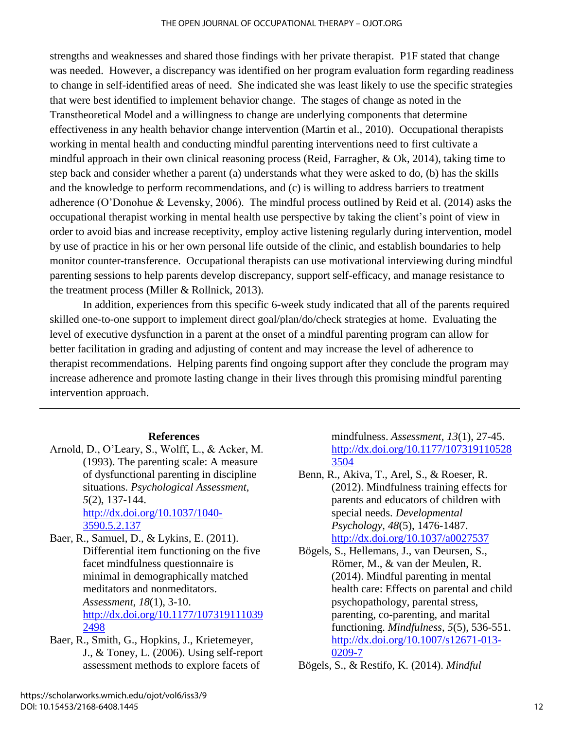strengths and weaknesses and shared those findings with her private therapist. P1F stated that change was needed. However, a discrepancy was identified on her program evaluation form regarding readiness to change in self-identified areas of need. She indicated she was least likely to use the specific strategies that were best identified to implement behavior change. The stages of change as noted in the Transtheoretical Model and a willingness to change are underlying components that determine effectiveness in any health behavior change intervention (Martin et al., 2010). Occupational therapists working in mental health and conducting mindful parenting interventions need to first cultivate a mindful approach in their own clinical reasoning process (Reid, Farragher, & Ok, 2014), taking time to step back and consider whether a parent (a) understands what they were asked to do, (b) has the skills and the knowledge to perform recommendations, and (c) is willing to address barriers to treatment adherence (O'Donohue & Levensky, 2006). The mindful process outlined by Reid et al. (2014) asks the occupational therapist working in mental health use perspective by taking the client's point of view in order to avoid bias and increase receptivity, employ active listening regularly during intervention, model by use of practice in his or her own personal life outside of the clinic, and establish boundaries to help monitor counter-transference. Occupational therapists can use motivational interviewing during mindful parenting sessions to help parents develop discrepancy, support self-efficacy, and manage resistance to the treatment process (Miller & Rollnick, 2013).

In addition, experiences from this specific 6-week study indicated that all of the parents required skilled one-to-one support to implement direct goal/plan/do/check strategies at home. Evaluating the level of executive dysfunction in a parent at the onset of a mindful parenting program can allow for better facilitation in grading and adjusting of content and may increase the level of adherence to therapist recommendations. Helping parents find ongoing support after they conclude the program may increase adherence and promote lasting change in their lives through this promising mindful parenting intervention approach.

# **References**

- Arnold, D., O'Leary, S., Wolff, L., & Acker, M. (1993). The parenting scale: A measure of dysfunctional parenting in discipline situations. *Psychological Assessment*, *5*(2), 137-144. [http://dx.doi.org/10.1037/1040-](http://dx.doi.org/10.1037/1040-3590.5.2.137) [3590.5.2.137](http://dx.doi.org/10.1037/1040-3590.5.2.137)
- Baer, R., Samuel, D., & Lykins, E. (2011). Differential item functioning on the five facet mindfulness questionnaire is minimal in demographically matched meditators and nonmeditators. *Assessment*, *18*(1), 3-10. [http://dx.doi.org/10.1177/107319111039](http://dx.doi.org/10.1177/1073191110392498) [2498](http://dx.doi.org/10.1177/1073191110392498)
- Baer, R., Smith, G., Hopkins, J., Krietemeyer, J., & Toney, L. (2006). Using self-report assessment methods to explore facets of

mindfulness. *Assessment*, *13*(1), 27-45. [http://dx.doi.org/10.1177/107319110528](http://dx.doi.org/10.1177/1073191105283504) [3504](http://dx.doi.org/10.1177/1073191105283504)

Benn, R., Akiva, T., Arel, S., & Roeser, R. (2012). Mindfulness training effects for parents and educators of children with special needs. *Developmental Psychology*, *48*(5), 1476-1487. <http://dx.doi.org/10.1037/a0027537>

Bögels, S., Hellemans, J., van Deursen, S., Römer, M., & van der Meulen, R. (2014). Mindful parenting in mental health care: Effects on parental and child psychopathology, parental stress, parenting, co-parenting, and marital functioning. *Mindfulness*, *5*(5), 536-551. [http://dx.doi.org/10.1007/s12671-013-](http://dx.doi.org/10.1007/s12671-013-0209-7) [0209-7](http://dx.doi.org/10.1007/s12671-013-0209-7)

Bögels, S., & Restifo, K. (2014). *Mindful*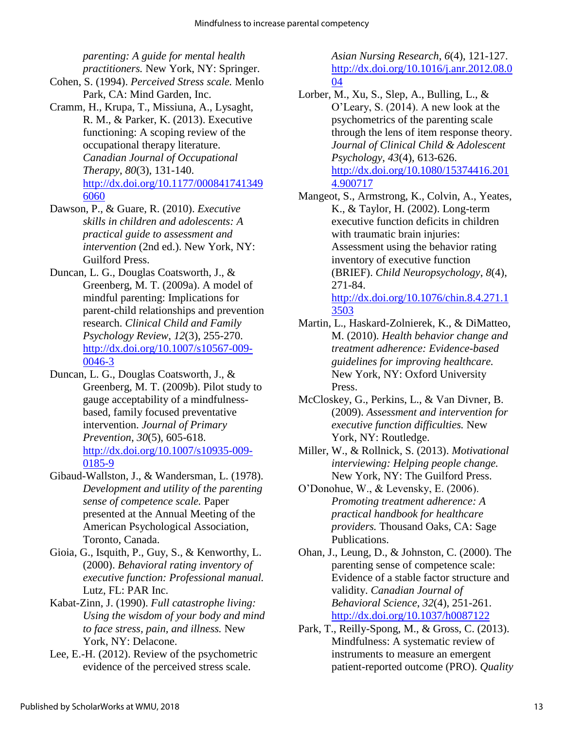*parenting: A guide for mental health practitioners.* New York, NY: Springer.

- Cohen, S. (1994). *Perceived Stress scale.* Menlo Park, CA: Mind Garden, Inc.
- Cramm, H., Krupa, T., Missiuna, A., Lysaght, R. M., & Parker, K. (2013). Executive functioning: A scoping review of the occupational therapy literature. *Canadian Journal of Occupational Therapy*, *80*(3), 131-140. [http://dx.doi.org/10.1177/000841741349](http://dx.doi.org/10.1177/0008417413496060) [6060](http://dx.doi.org/10.1177/0008417413496060)
- Dawson, P., & Guare, R. (2010). *Executive skills in children and adolescents: A practical guide to assessment and intervention* (2nd ed.). New York, NY: Guilford Press.
- Duncan, L. G., Douglas Coatsworth, J., & Greenberg, M. T. (2009a). A model of mindful parenting: Implications for parent-child relationships and prevention research. *Clinical Child and Family Psychology Review*, *12*(3), 255-270. [http://dx.doi.org/10.1007/s10567-009-](http://dx.doi.org/10.1007/s10567-009-0046-3) [0046-3](http://dx.doi.org/10.1007/s10567-009-0046-3)
- Duncan, L. G., Douglas Coatsworth, J., & Greenberg, M. T. (2009b). Pilot study to gauge acceptability of a mindfulnessbased, family focused preventative intervention. *Journal of Primary Prevention*, *30*(5), 605-618. [http://dx.doi.org/10.1007/s10935-009-](http://dx.doi.org/10.1007/s10935-009-0185-9) [0185-9](http://dx.doi.org/10.1007/s10935-009-0185-9)
- Gibaud-Wallston, J., & Wandersman, L. (1978). *Development and utility of the parenting sense of competence scale.* Paper presented at the Annual Meeting of the American Psychological Association, Toronto, Canada.
- Gioia, G., Isquith, P., Guy, S., & Kenworthy, L. (2000). *Behavioral rating inventory of executive function: Professional manual.* Lutz, FL: PAR Inc.
- Kabat-Zinn, J. (1990). *Full catastrophe living: Using the wisdom of your body and mind to face stress, pain, and illness.* New York, NY: Delacone.
- Lee, E.-H. (2012). Review of the psychometric evidence of the perceived stress scale.

*Asian Nursing Research*, *6*(4), 121-127[.](http://dx.doi.org/10.016/j.anr.2012.08.004) [http://dx.doi.org/10.1016/j.anr.2012.08.0](http://dx.doi.org/10.016/j.anr.2012.08.004) [04](http://dx.doi.org/10.016/j.anr.2012.08.004)

- Lorber, M., Xu, S., Slep, A., Bulling, L., & O'Leary, S. (2014). A new look at the psychometrics of the parenting scale through the lens of item response theory. *Journal of Clinical Child & Adolescent Psychology*, *43*(4), 613-626. [http://dx.doi.org/10.1080/15374416.201](http://dx.doi.org/10.1080/15374416.2014.900717) [4.900717](http://dx.doi.org/10.1080/15374416.2014.900717)
- Mangeot, S., Armstrong, K., Colvin, A., Yeates, K., & Taylor, H. (2002). Long-term executive function deficits in children with traumatic brain injuries: Assessment using the behavior rating inventory of executive function (BRIEF). *Child Neuropsychology*, *8*(4), 271-84. [http://dx.doi.org/10.1076/chin.8.4.271.1](http://dx.doi.org/10.1076/chin.8.4.271.13503)

[3503](http://dx.doi.org/10.1076/chin.8.4.271.13503)

- Martin, L., Haskard-Zolnierek, K., & DiMatteo, M. (2010). *Health behavior change and treatment adherence: Evidence-based guidelines for improving healthcare.* New York, NY: Oxford University Press.
- McCloskey, G., Perkins, L., & Van Divner, B. (2009). *Assessment and intervention for executive function difficulties.* New York, NY: Routledge.
- Miller, W., & Rollnick, S. (2013). *Motivational interviewing: Helping people change.* New York, NY: The Guilford Press.
- O'Donohue, W., & Levensky, E. (2006). *Promoting treatment adherence: A practical handbook for healthcare providers.* Thousand Oaks, CA: Sage Publications.
- Ohan, J., Leung, D., & Johnston, C. (2000). The parenting sense of competence scale: Evidence of a stable factor structure and validity. *Canadian Journal of Behavioral Science*, *32*(4), 251-261. <http://dx.doi.org/10.1037/h0087122>
- Park, T., Reilly-Spong, M., & Gross, C. (2013). Mindfulness: A systematic review of instruments to measure an emergent patient-reported outcome (PRO). *Quality*